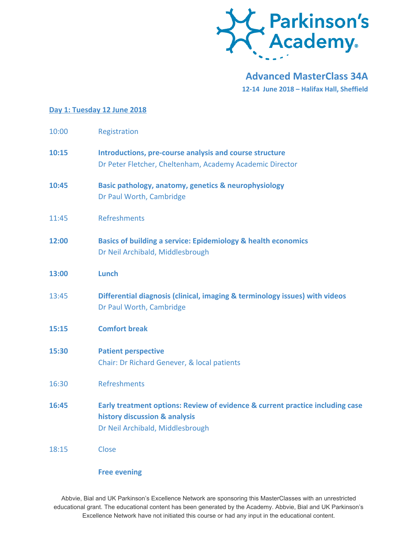

**Advanced MasterClass 34A 12-14 June 2018 – Halifax Hall, Sheffield**

## **Day 1: Tuesday 12 June 2018**

| 10:00 | Registration                                                                                                                                       |
|-------|----------------------------------------------------------------------------------------------------------------------------------------------------|
| 10:15 | Introductions, pre-course analysis and course structure<br>Dr Peter Fletcher, Cheltenham, Academy Academic Director                                |
| 10:45 | Basic pathology, anatomy, genetics & neurophysiology<br>Dr Paul Worth, Cambridge                                                                   |
| 11:45 | <b>Refreshments</b>                                                                                                                                |
| 12:00 | <b>Basics of building a service: Epidemiology &amp; health economics</b><br>Dr Neil Archibald, Middlesbrough                                       |
| 13:00 | <b>Lunch</b>                                                                                                                                       |
| 13:45 | Differential diagnosis (clinical, imaging & terminology issues) with videos<br>Dr Paul Worth, Cambridge                                            |
| 15:15 | <b>Comfort break</b>                                                                                                                               |
| 15:30 | <b>Patient perspective</b><br>Chair: Dr Richard Genever, & local patients                                                                          |
| 16:30 | <b>Refreshments</b>                                                                                                                                |
| 16:45 | Early treatment options: Review of evidence & current practice including case<br>history discussion & analysis<br>Dr Neil Archibald, Middlesbrough |
| 18:15 | Close                                                                                                                                              |

**Free evening**

Abbvie, Bial and UK Parkinson's Excellence Network are sponsoring this MasterClasses with an unrestricted educational grant. The educational content has been generated by the Academy. Abbvie, Bial and UK Parkinson's Excellence Network have not initiated this course or had any input in the educational content.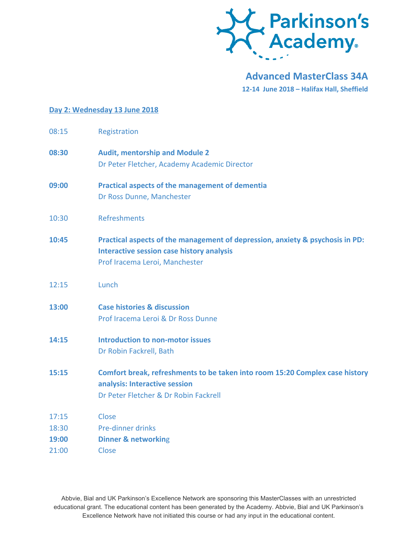

**Advanced MasterClass 34A 12-14 June 2018 – Halifax Hall, Sheffield**

## **Day 2: Wednesday 13 June 2018**

| 08:15 | Registration                                                                                                                                                        |
|-------|---------------------------------------------------------------------------------------------------------------------------------------------------------------------|
| 08:30 | <b>Audit, mentorship and Module 2</b><br>Dr Peter Fletcher, Academy Academic Director                                                                               |
| 09:00 | <b>Practical aspects of the management of dementia</b><br>Dr Ross Dunne, Manchester                                                                                 |
| 10:30 | <b>Refreshments</b>                                                                                                                                                 |
| 10:45 | Practical aspects of the management of depression, anxiety & psychosis in PD:<br><b>Interactive session case history analysis</b><br>Prof Iracema Leroi, Manchester |
| 12:15 | Lunch                                                                                                                                                               |
| 13:00 | <b>Case histories &amp; discussion</b><br>Prof Iracema Leroi & Dr Ross Dunne                                                                                        |
| 14:15 | <b>Introduction to non-motor issues</b><br>Dr Robin Fackrell, Bath                                                                                                  |
| 15:15 | Comfort break, refreshments to be taken into room 15:20 Complex case history<br>analysis: Interactive session<br>Dr Peter Fletcher & Dr Robin Fackrell              |
| 17:15 | Close                                                                                                                                                               |
| 18:30 | Pre-dinner drinks                                                                                                                                                   |
| 19:00 | <b>Dinner &amp; networking</b>                                                                                                                                      |
| 21:00 | Close                                                                                                                                                               |

Abbvie, Bial and UK Parkinson's Excellence Network are sponsoring this MasterClasses with an unrestricted educational grant. The educational content has been generated by the Academy. Abbvie, Bial and UK Parkinson's Excellence Network have not initiated this course or had any input in the educational content.